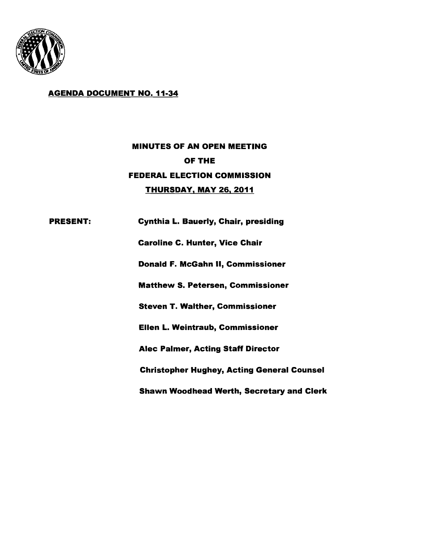

## AGENDA DOCUMENT NO. 11·34

# MINUTES OF AN OPEN MEETING OF THE FEDERAL ELECTION COMMISSION <u>THURSDAY, MAY 26, 2011</u>

PRESENT: Cynthia L. Bauerly, Chair, presiding Caroline C. Hunter, Vice Chair Donald F. McGahn II, Commissioner Matthew S. Petersen, Commissioner Steven T. Walther, Commissioner Ellen L. Weintraub, Commissioner Alec Palmer, Acting Staff Director Christopher Hughey, Acting General Counsel Shawn Woodhead Werth, Secretary and Clerk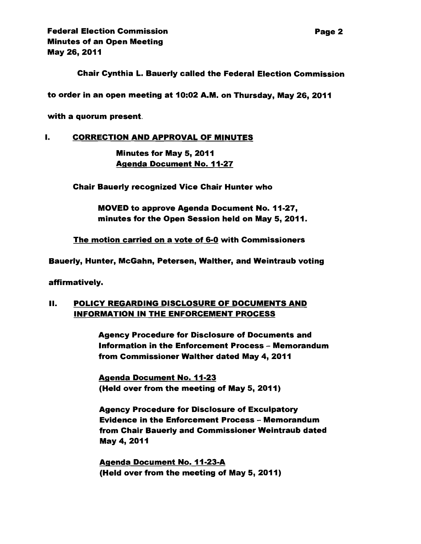Federal Election Commission **Page 2** Minutes of an Open Meeting May 26,2011

Chair Cynthia L. Bauerly called the Federal Election Commission

to order in an open meeting at 10:02 A.M. on Thursday, May 26, 2011

with a quorum present.

#### I. CORRECTION AND APPROVAL OF MINUTES

Minutes for May 5, 2011 Agenda Document No. 11-27

Chair Bauerly recognized Vice Chair Hunter who

MOVED to approve Agenda Document No. 11-27, minutes for the Open Session held on May 5, 2011.

The motion carried on a vote of 6-0 with Commissioners

Bauerly, Hunter, McGahn, Petersen, Walther, and Weintraub voting

affirmatively.

### II. POLICY REGARDING DISCLOSURE OF DOCUMENTS AND INFORMATION IN THE ENFORCEMENT PROCESS

Agency Procedure for Disclosure of Documents and Information in the Enforcement Process - Memorandum from Commissioner Walther dated May 4, 2011

Agenda Document No. 11·23 (Held over from the meeting of May 5, 2011)

Agency Procedure for Disclosure of Exculpatory Evidence in the Enforcement Process - Memorandum from Chair Bauerly and Commissioner Weintraub dated May 4,2011

Agenda Document No. 11·23·A (Held over from the meeting of May 5,2011)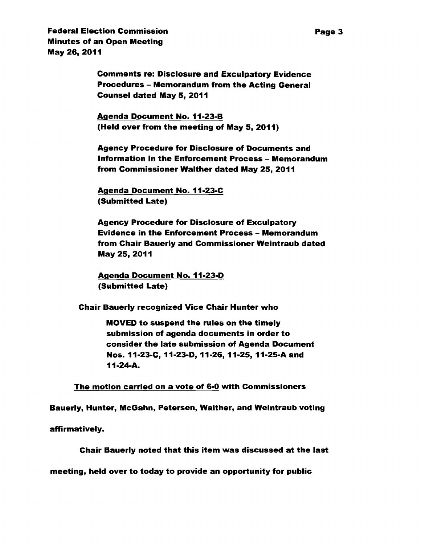**Federal Election Commission** Page 3 Minutes of an Open Meeting May 26,2011

> Comments re: Disclosure and Exculpatory Evidence Procedures - Memorandum from the Acting General Counsel dated May 5, 2011

Agenda Document No. 11-23-B (Held over from the meeting of May 5, 2011)

Agency Procedure for Disclosure of Documents and Information in the Enforcement Process - Memorandum from Commissioner Walther dated May 25, 2011

Agenda Document No. 11-23-C (Submitted Late)

Agency Procedure for Disclosure of Exculpatory Evidence in the Enforcement Process - Memorandum from Chair Bauerly and Commissioner Weintraub dated May 25,2011

Agenda Document No. 11-23-D (Submitted Late)

Chair Bauerly recognized Vice Chair Hunter who

MOVED to suspend the rules on the timely submission of agenda documents in order to consider the late submission of Agenda Document Nos. 11-23-C, 11-23-D, 11-26, 11-25, 11-25-A and 11-24-A.

The motion carried on a vote of 6-0 with Commissioners

Bauerly, Hunter, McGahn, Petersen, Walther, and Weintraub voting

affirmatively.

Chair Bauerly noted that this item was discussed at the last

meeting, held over to today to provide an opportunity for public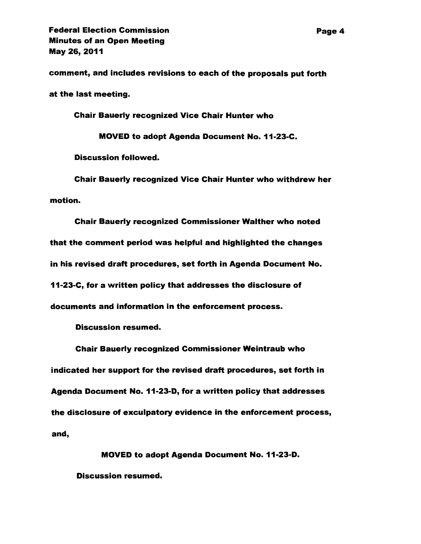comment, and includes revisions to each of the proposals put forth

at the last meeting.

Chair Bauerly recognized Vice Chair Hunter who

MOVED to adopt Agenda Document No. 11-23-C.

Discussion followed.

Chair Bauerly recognized Vice Chair Hunter who withdrew her motion.

Chair Bauerly recognized Commissioner Walther who noted that the comment period was helpful and highlighted the changes in his revised draft procedures, set forth in Agenda Document No. 11-23-C, for a written policy that addresses the disclosure of documents and information in the enforcement process.

Discussion resumed.

Chair Bauerly recognized Commissioner Weintraub who indicated her support for the revised draft procedures, set forth in Agenda Document No. 11-23-D, for a written policy that addresses the disclosure of exculpatory evidence in the enforcement process, and,

MOVED to adopt Agenda Document No. 11-23-D. Discussion resumed.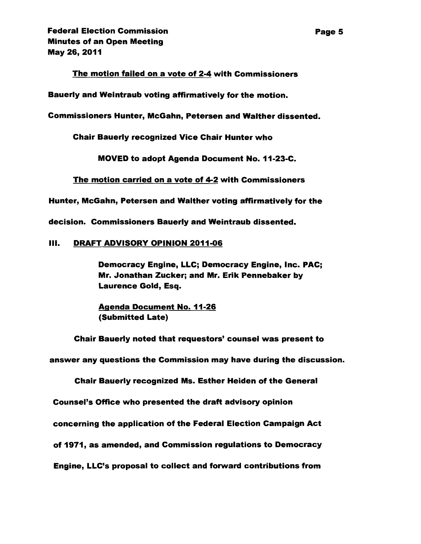#### The motion failed on a vote of 2-4 with Commissioners

Bauerly and Weintraub voting affirmatively for the motion.

Commissioners Hunter, McGahn, Petersen and Walther dissented.

Chair Bauerly recognized Vice Chair Hunter who

MOVED to adopt Agenda Document No. 11-23-C.

The motion carried on a vote of 4-2 with Commissioners

Hunter, McGahn, Petersen and Walther voting affirmatively for the

decision. Commissioners Bauerly and Weintraub dissented.

#### III. DRAFT ADVISORY OPINION 2011-06

Democracy Engine, LLC; Democracy Engine, Inc. PAC; Mr. Jonathan Zucker; and Mr. Erik Pennebaker by Laurence Gold, Esq.

Agenda Document No. 11-26 (Submitted Late)

Chair Bauerly noted that requestors' counsel was present to

answer any questions the Commission may have during the discussion.

Chair Bauerly recognized Ms. Esther Heiden of the General

Counsel's Office who presented the draft advisory opinion

concerning the application of the Federal Election Campaign Act

of 1971, as amended, and Commission regulations to Democracy

Engine, LLC's proposal to collect and forward contributions from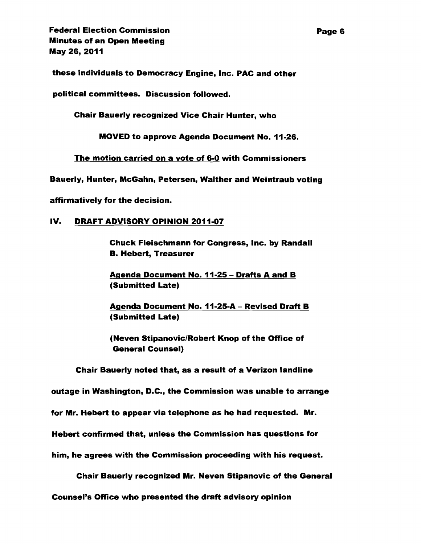these individuals to Democracy Engine, Inc. PAC and other

political committees. Discussion followed.

Chair Bauerly recognized Vice Chair Hunter, who

MOVED to approve Agenda Document No. 11-26.

The motion carried on a vote of 6-0 with Commissioners

Bauerly, Hunter, McGahn, Petersen, Walther and Weintraub voting

affirmatively for the decision.

#### IV. DRAFT ADVISORY OPINION 2011-07

Chuck Fleischmann for Congress, Inc. by Randall B. Hebert, Treasurer

Agenda Document No. 11-25 - Drafts A and B (Submitted Late)

Agenda Document No. 11-25-A - Revised Draft B (Submitted Late)

(Neven Stipanovic/Robert Knop of the Office of General Counsel)

Chair Bauerly noted that, as a result of a Verizon landline

outage in Washington, D.C., the Commission was unable to arrange

for Mr. Hebert to appear via telephone as he had requested. Mr.

Hebert confirmed that, unless the Commission has questions for

him, he agrees with the Commission proceeding with his request.

Chair Bauerly recognized Mr. Neven Stipanovic of the General

Counsel's Office who presented the draft advisory opinion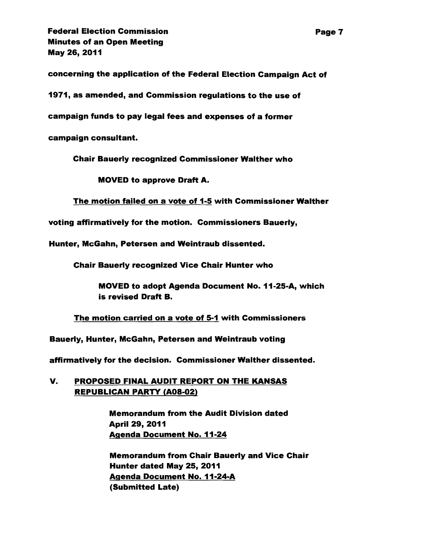**Federal Election Commission Page 7** Minutes of an Open Meeting May 26,2011

concerning the application of the Federal Election Campaign Act of

1971, as amended, and Commission regulations to the use of

campaign funds to pay legal fees and expenses of a former

campaign consultant.

Chair Bauerly recognized Commissioner Walther who

MOVED to approve Draft A.

The motion failed on a vote of 1-5 with Commissioner Walther

voting affirmatively for the motion. Commissioners Bauerly,

Hunter, McGahn, Petersen and Weintraub dissented.

Chair Bauerly recognized Vice Chair Hunter who

MOVED to adopt Agenda Document No. 11-25-A, which is revised Draft B.

The motion carried on a vote of 5-1 with Commissioners

Bauerly, Hunter, McGahn, Petersen and Weintraub voting

affirmatively for the decision. Commissioner Walther dissented.

## V. PROPOSED FINAL AUDIT REPORT ON THE KANSAS REPUBLICAN PARTY (A08-02)

Memorandum from the Audit Division dated April 29, 2011 Agenda Document No. 11-24

Memorandum from Chair Bauerly and Vice Chair Hunter dated May 25, 2011 Agenda Document No. 11-24-A (Submitted Late)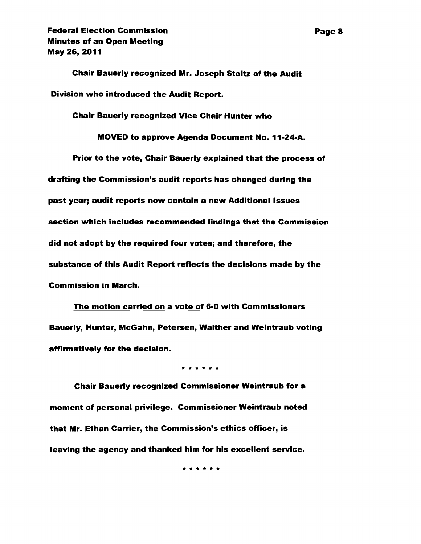Chair Bauerly recognized Mr. Joseph Stoltz of the Audit Division who introduced the Audit Report.

Chair Bauerly recognized Vice Chair Hunter who

MOVED to approve Agenda Document No. 11-24-A.

Prior to the vote, Chair Bauerly explained that the process of drafting the Commission's audit reports has changed during the past year; audit reports now contain a new Additional Issues section which includes recommended findings that the Commission did not adopt by the required four votes; and therefore, the substance of this Audit Report reflects the decisions made by the Commission in March.

The motion carried on a vote of 6-0 with Commissioners Bauerly, Hunter, McGahn, Petersen, Walther and Weintraub voting affirmatively for the decision.

\* \* \* \* \* \*

Chair Bauerly recognized Commissioner Weintraub for a moment of personal priVilege. Commissioner Weintraub noted that Mr. Ethan Carrier, the Commission's ethics officer, is leaving the agency and thanked him for his excellent service.

\* \* \* \* \* \*